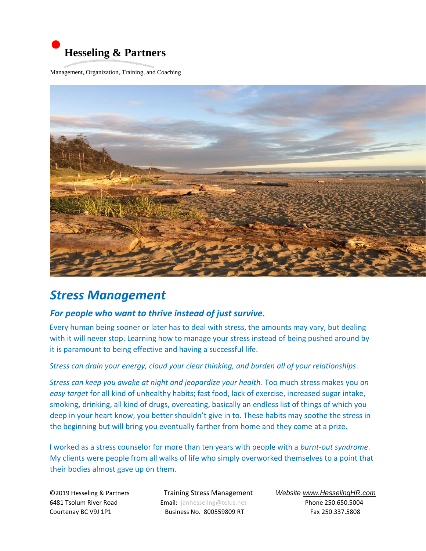

Management, Organization, Training, and Coaching



## *Stress Management*

## *For people who want to thrive instead of just survive.*

Every human being sooner or later has to deal with stress, the amounts may vary, but dealing with it will never stop. Learning how to manage your stress instead of being pushed around by it is paramount to being effective and having a successful life.

## *Stress can drain your energy, cloud your clear thinking, and burden all of your relationships*.

*Stress can keep you awake at night and jeopardize your health.* Too much stress makes you *an easy target* for all kind of unhealthy habits; fast food, lack of exercise, increased sugar intake, smoking**,** drinking, all kind of drugs, overeating, basically an endless list of things of which you deep in your heart know, you better shouldn't give in to. These habits may soothe the stress in the beginning but will bring you eventually farther from home and they come at a prize.

I worked as a stress counselor for more than ten years with people with a *burnt-out syndrome*. My clients were people from all walks of life who simply overworked themselves to a point that their bodies almost gave up on them.

6481 Tsolum River Road Email: janhesseling@telus.net Phone 250.650.5004 Courtenay BC V9J 1P1 **Business No. 800559809 RT** Fax 250.337.5808

©2019 Hesseling & PartnersTraining Stress Management *Website www.HesselingHR.com*